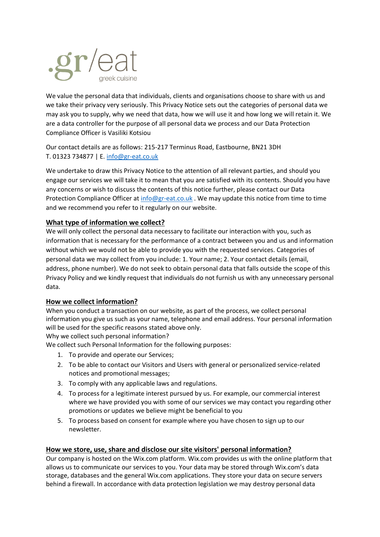

We value the personal data that individuals, clients and organisations choose to share with us and we take their privacy very seriously. This Privacy Notice sets out the categories of personal data we may ask you to supply, why we need that data, how we will use it and how long we will retain it. We are a data controller for the purpose of all personal data we process and our Data Protection Compliance Officer is Vasiliki Kotsiou

Our contact details are as follows: 215-217 Terminus Road, Eastbourne, BN21 3DH T. 01323 734877 | E. [info@gr-eat.co.uk](mailto:info@gr-eat.co.uk)

We undertake to draw this Privacy Notice to the attention of all relevant parties, and should you engage our services we will take it to mean that you are satisfied with its contents. Should you have any concerns or wish to discuss the contents of this notice further, please contact our Data Protection Compliance Officer a[t info@gr-eat.co.uk](mailto:info@gr-eat.co.uk). We may update this notice from time to time and we recommend you refer to it regularly on our website.

### **What type of information we collect?**

We will only collect the personal data necessary to facilitate our interaction with you, such as information that is necessary for the performance of a contract between you and us and information without which we would not be able to provide you with the requested services. Categories of personal data we may collect from you include: 1. Your name; 2. Your contact details (email, address, phone number). We do not seek to obtain personal data that falls outside the scope of this Privacy Policy and we kindly request that individuals do not furnish us with any unnecessary personal data.

### **How we collect information?**

When you conduct a transaction on our website, as part of the process, we collect personal information you give us such as your name, telephone and email address. Your personal information will be used for the specific reasons stated above only.

Why we collect such personal information?

We collect such Personal Information for the following purposes:

- 1. To provide and operate our Services;
- 2. To be able to contact our Visitors and Users with general or personalized service-related notices and promotional messages;
- 3. To comply with any applicable laws and regulations.
- 4. To process for a legitimate interest pursued by us. For example, our commercial interest where we have provided you with some of our services we may contact you regarding other promotions or updates we believe might be beneficial to you
- 5. To process based on consent for example where you have chosen to sign up to our newsletter.

### **How we store, use, share and disclose our site visitors' personal information?**

Our company is hosted on the Wix.com platform. Wix.com provides us with the online platform that allows us to communicate our services to you. Your data may be stored through Wix.com's data storage, databases and the general Wix.com applications. They store your data on secure servers behind a firewall. In accordance with data protection legislation we may destroy personal data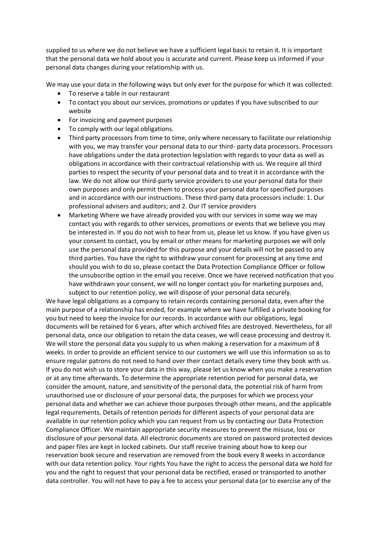supplied to us where we do not believe we have a sufficient legal basis to retain it. It is important that the personal data we hold about you is accurate and current. Please keep us informed if your personal data changes during your relationship with us.

We may use your data in the following ways but only ever for the purpose for which it was collected:

- To reserve a table in our restaurant
- To contact you about our services, promotions or updates if you have subscribed to our website
- For invoicing and payment purposes
- To comply with our legal obligations.
- Third party processors from time to time, only where necessary to facilitate our relationship with you, we may transfer your personal data to our third- party data processors. Processors have obligations under the data protection legislation with regards to your data as well as obligations in accordance with their contractual relationship with us. We require all third parties to respect the security of your personal data and to treat it in accordance with the law. We do not allow our third-party service providers to use your personal data for their own purposes and only permit them to process your personal data for specified purposes and in accordance with our instructions. These third-party data processors include: 1. Our professional advisers and auditors; and 2. Our IT service providers
- Marketing Where we have already provided you with our services in some way we may contact you with regards to other services, promotions or events that we believe you may be interested in. If you do not wish to hear from us, please let us know. If you have given us your consent to contact, you by email or other means for marketing purposes we will only use the personal data provided for this purpose and your details will not be passed to any third parties. You have the right to withdraw your consent for processing at any time and should you wish to do so, please contact the Data Protection Compliance Officer or follow the unsubscribe option in the email you receive. Once we have received notification that you have withdrawn your consent, we will no longer contact you for marketing purposes and, subject to our retention policy, we will dispose of your personal data securely.

We have legal obligations as a company to retain records containing personal data, even after the main purpose of a relationship has ended, for example where we have fulfilled a private booking for you but need to keep the invoice for our records. In accordance with our obligations, legal documents will be retained for 6 years, after which archived files are destroyed. Nevertheless, for all personal data, once our obligation to retain the data ceases, we will cease processing and destroy it. We will store the personal data you supply to us when making a reservation for a maximum of 8 weeks. In order to provide an efficient service to our customers we will use this information so as to ensure regular patrons do not need to hand over their contact details every time they book with us. If you do not wish us to store your data in this way, please let us know when you make a reservation or at any time afterwards. To determine the appropriate retention period for personal data, we consider the amount, nature, and sensitivity of the personal data, the potential risk of harm from unauthorised use or disclosure of your personal data, the purposes for which we process your personal data and whether we can achieve those purposes through other means, and the applicable legal requirements. Details of retention periods for different aspects of your personal data are available in our retention policy which you can request from us by contacting our Data Protection Compliance Officer. We maintain appropriate security measures to prevent the misuse, loss or disclosure of your personal data. All electronic documents are stored on password protected devices and paper files are kept in locked cabinets. Our staff receive training about how to keep our reservation book secure and reservation are removed from the book every 8 weeks in accordance with our data retention policy. Your rights You have the right to access the personal data we hold for you and the right to request that your personal data be rectified, erased or transported to another data controller. You will not have to pay a fee to access your personal data (or to exercise any of the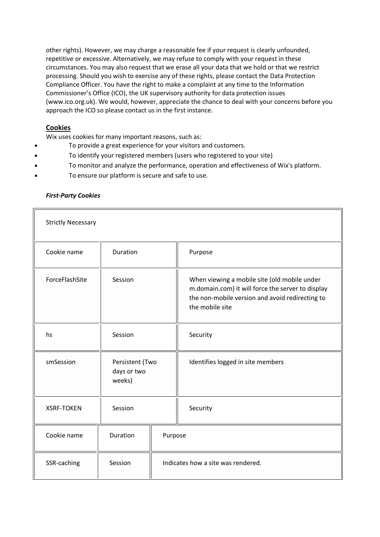other rights). However, we may charge a reasonable fee if your request is clearly unfounded, repetitive or excessive. Alternatively, we may refuse to comply with your request in these circumstances. You may also request that we erase all your data that we hold or that we restrict processing. Should you wish to exercise any of these rights, please contact the Data Protection Compliance Officer. You have the right to make a complaint at any time to the Information Commissioner's Office (ICO), the UK supervisory authority for data protection issues (www.ico.org.uk). We would, however, appreciate the chance to deal with your concerns before you approach the ICO so please contact us in the first instance.

## **Cookies**

 $\mathbf{r}$ 

Wix uses cookies for many important reasons, such as:

- To provide a great experience for your visitors and customers.
- To identify your registered members (users who registered to your site)
- To monitor and analyze the performance, operation and effectiveness of Wix's platform.
- To ensure our platform is secure and safe to use.

| <b>Strictly Necessary</b> |                                          |                                    |                                                                                                                                                                         |  |  |  |
|---------------------------|------------------------------------------|------------------------------------|-------------------------------------------------------------------------------------------------------------------------------------------------------------------------|--|--|--|
| Cookie name               | Duration                                 |                                    | Purpose                                                                                                                                                                 |  |  |  |
| ForceFlashSite            | Session                                  |                                    | When viewing a mobile site (old mobile under<br>m.domain.com) it will force the server to display<br>the non-mobile version and avoid redirecting to<br>the mobile site |  |  |  |
| hs                        | Session                                  |                                    | Security                                                                                                                                                                |  |  |  |
| smSession                 | Persistent (Two<br>days or two<br>weeks) |                                    | Identifies logged in site members                                                                                                                                       |  |  |  |
| <b>XSRF-TOKEN</b>         | Session                                  |                                    | Security                                                                                                                                                                |  |  |  |
| Cookie name               | Duration                                 | Purpose                            |                                                                                                                                                                         |  |  |  |
| SSR-caching               | Session                                  | Indicates how a site was rendered. |                                                                                                                                                                         |  |  |  |

### *First-Party Cookies*